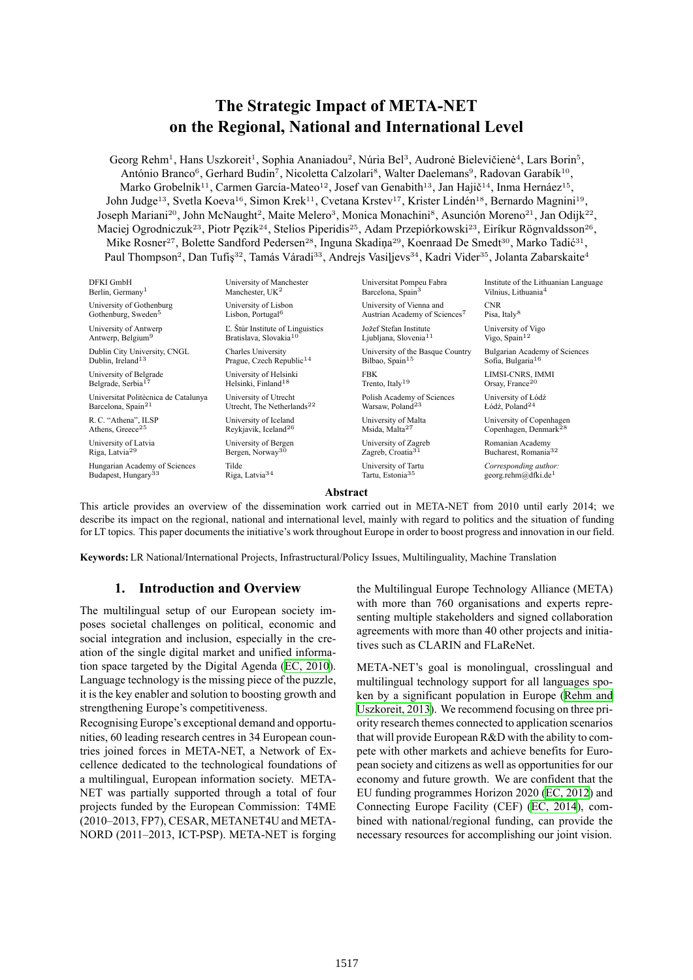# **The Strategic Impact of META-NET on the Regional, National and International Level**

Georg Rehm<sup>1</sup>, Hans Uszkoreit<sup>1</sup>, Sophia Ananiadou<sup>2</sup>, Núria Bel<sup>3</sup>, Audronė Bielevičienė<sup>4</sup>, Lars Borin<sup>5</sup>, António Branco<sup>6</sup>, Gerhard Budin<sup>7</sup>, Nicoletta Calzolari<sup>s</sup>, Walter Daelemans<sup>9</sup>, Radovan Garabík<sup>10</sup>, Marko Grobelnik<sup>11</sup>, Carmen García-Mateo<sup>12</sup>, Josef van Genabith<sup>13</sup>, Jan Hajič<sup>14</sup>, Inma Hernáez<sup>15</sup>, John Judge<sup>13</sup>, Svetla Koeva<sup>16</sup>, Simon Krek<sup>11</sup>, Cvetana Krstev<sup>17</sup>, Krister Lindén<sup>18</sup>, Bernardo Magnini<sup>19</sup>, Joseph Mariani<sup>20</sup>, John McNaught<sup>2</sup>, Maite Melero<sup>3</sup>, Monica Monachini<sup>s</sup>, Asunción Moreno<sup>21</sup>, Jan Odijk<sup>22</sup>, Maciej Ogrodniczuk<sup>23</sup>, Piotr Pęzik<sup>24</sup>, Stelios Piperidis<sup>25</sup>, Adam Przepiórkowski<sup>23</sup>, Eiríkur Rögnvaldsson<sup>26</sup>, Mike Rosner<sup>27</sup>, Bolette Sandford Pedersen<sup>28</sup>, Inguna Skadiņa<sup>29</sup>, Koenraad De Smedt<sup>30</sup>, Marko Tadić<sup>31</sup>, Paul Thompson<sup>2</sup>, Dan Tufiş<sup>32</sup>, Tamás Váradi<sup>33</sup>, Andrejs Vasiļjevs<sup>34</sup>, Kadri Vider<sup>35</sup>, Jolanta Zabarskaite<sup>4</sup>

| DFKI GmbH                            | University of Manchester               | Universitat Pompeu Fabra                  | Institute of the Lithuanian Language |
|--------------------------------------|----------------------------------------|-------------------------------------------|--------------------------------------|
| Berlin, Germany <sup>1</sup>         | Manchester, $UK2$                      | Barcelona, Spain <sup>3</sup>             | Vilnius, Lithuania <sup>4</sup>      |
| University of Gothenburg             | University of Lisbon                   | University of Vienna and                  | <b>CNR</b>                           |
| Gothenburg, Sweden <sup>5</sup>      | Lisbon, Portugal <sup>6</sup>          | Austrian Academy of Sciences <sup>7</sup> | Pisa, Italy <sup>8</sup>             |
| University of Antwerp                | L. Stúr Institute of Linguistics       | Jožef Stefan Institute                    | University of Vigo                   |
| Antwerp, Belgium <sup>9</sup>        | Bratislava, Slovakia <sup>10</sup>     | Ljubljana, Slovenia <sup>11</sup>         | Vigo, Spain $12$                     |
| Dublin City University, CNGL         | <b>Charles University</b>              | University of the Basque Country          | Bulgarian Academy of Sciences        |
| Dublin. Ireland <sup>13</sup>        | Prague, Czech Republic <sup>14</sup>   | Bilbao, Spain <sup>15</sup>               | Sofia, Bulgaria <sup>16</sup>        |
| University of Belgrade               | University of Helsinki                 | <b>FBK</b>                                | LIMSI-CNRS, IMMI                     |
| Belgrade, Serbia <sup>17</sup>       | Helsinki, Finland <sup>18</sup>        | Trento, Italy <sup>19</sup>               | Orsay, France <sup>20</sup>          |
| Universitat Politècnica de Catalunya | University of Utrecht                  | Polish Academy of Sciences                | University of Łódź                   |
| Barcelona, Spain <sup>21</sup>       | Utrecht. The Netherlands <sup>22</sup> | Warsaw, Poland <sup>23</sup>              | Łódź, Poland <sup>24</sup>           |
| R.C. "Athena", ILSP                  | University of Iceland                  | University of Malta                       | University of Copenhagen             |
| Athens, Greece <sup>25</sup>         | Reykjavik, Iceland <sup>26</sup>       | Msida, Malta <sup>27</sup>                | Copenhagen, Denmark <sup>28</sup>    |
| University of Latvia                 | University of Bergen                   | University of Zagreb                      | Romanian Academy                     |
| Riga, Latvia <sup>29</sup>           | Bergen, Norway <sup>30</sup>           | Zagreb, Croatia <sup>31</sup>             | Bucharest. Romania <sup>32</sup>     |
| Hungarian Academy of Sciences        | Tilde                                  | University of Tartu                       | Corresponding author:                |
| Budapest, Hungary <sup>33</sup>      | Riga, Latvia <sup>34</sup>             | Tartu, Estonia <sup>35</sup>              | georg.rehm@dfki.de <sup>1</sup>      |

### **Abstract**

This article provides an overview of the dissemination work carried out in META-NET from 2010 until early 2014; we describe its impact on the regional, national and international level, mainly with regard to politics and the situation of funding for LT topics. This paper documents the initiative's work throughout Europe in order to boost progress and innovation in our field.

**Keywords:** LR National/International Projects, Infrastructural/Policy Issues, Multilinguality, Machine Translation

## **1. Introduction and Overview**

The multilingual setup of our European society imposes societal challenges on political, economic and social integration and inclusion, especially in the creation of the single digital market and unified information space targeted by the Digital Agenda (EC, 2010). Language technology is the missing piece of the puzzle, it is the key enabler and solution to boosting growth and strengthening Europe's competitiveness.

Recognising Europe's exceptional demand a[nd opportu](#page-7-0)nities, 60 leading research centres in 34 European countries joined forces in META-NET, a Network of Excellence dedicated to the technological foundations of a multilingual, European information society. META-NET was partially supported through a total of four projects funded by the European Commission: T4ME (2010–2013, FP7), CESAR, METANET4U and META-NORD (2011–2013, ICT-PSP). META-NET is forging the Multilingual Europe Technology Alliance (META) with more than 760 organisations and experts representing multiple stakeholders and signed collaboration agreements with more than 40 other projects and initiatives such as CLARIN and FLaReNet.

META-NET's goal is monolingual, crosslingual and multilingual technology support for all languages spoken by a significant population in Europe (Rehm and Uszkoreit, 2013). We recommend focusing on three priority research themes connected to application scenarios that will provide European R&D with the ability to compete with other markets and achieve benefit[s for Euro](#page-7-1)[pean society and](#page-7-1) citizens as well as opportunities for our economy and future growth. We are confident that the EU funding programmes Horizon 2020 (EC, 2012) and Connecting Europe Facility (CEF) (EC, 2014), combined with national/regional funding, can provide the necessary resources for accomplishing our joint vision.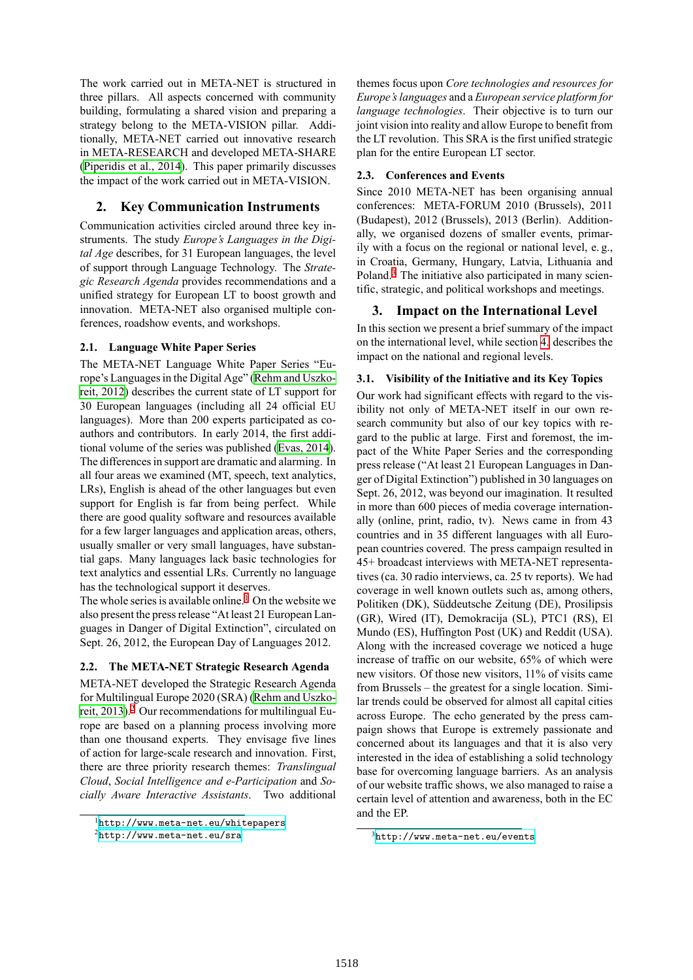The work carried out in META-NET is structured in three pillars. All aspects concerned with community building, formulating a shared vision and preparing a strategy belong to the META-VISION pillar. Additionally, META-NET carried out innovative research in META-RESEARCH and developed META-SHARE (Piperidis et al., 2014). This paper primarily discusses the impact of the work carried out in META-VISION.

# **2. Key Communication Instruments**

[Communication activi](#page-7-2)ties circled around three key instruments. The study *Europe's Languages in the Digital Age* describes, for 31 European languages, the level of support through Language Technology. The *Strategic Research Agenda* provides recommendations and a unified strategy for European LT to boost growth and innovation. META-NET also organised multiple conferences, roadshow events, and workshops.

# **2.1. Language White Paper Series**

The META-NET Language White Paper Series "Europe's Languages in the Digital Age" (Rehm and Uszkoreit, 2012) describes the current state of LT support for 30 European languages (including all 24 official EU languages). More than 200 experts participated as coauthors and contributors. In early 2[014, the first addi](#page-7-3)[tional volu](#page-7-3)me of the series was published (Evas, 2014). The differences in support are dramatic and alarming. In all four areas we examined (MT, speech, text analytics, LRs), English is ahead of the other languages but even support for English is far from being pe[rfect. Whil](#page-7-4)e there are good quality software and resources available for a few larger languages and application areas, others, usually smaller or very small languages, have substantial gaps. Many languages lack basic technologies for text analytics and essential LRs. Currently no language has the technological support it deserves.

The whole series is available online.<sup>1</sup> On the website we also present the press release "At least 21 European Languages in Danger of Digital Extinction", circulated on Sept. 26, 2012, the European Day of Languages 2012.

# **2.2. The META-NET Strategic Research Agenda**

<span id="page-1-2"></span>META-NET developed the Strategic Research Agenda for Multilingual Europe 2020 (SRA) (Rehm and Uszkoreit, 2013).<sup>2</sup> Our recommendations for multilingual Europe are based on a planning process involving more than one thousand experts. They envisage five lines of action for large-scale research and [innovation. First,](#page-7-1) [there are](#page-7-1)t[hr](#page-1-0)ee priority research themes: *Translingual Cloud*, *Social Intelligence and e-Participation* and *Socially Aware Interactive Assistants*. Two additional themes focus upon *Core technologies and resources for Europe's languages* and a *European service platform for language technologies*. Their objective is to turn our joint vision into reality and allow Europe to benefit from the LT revolution. This SRA is the first unified strategic plan for the entire European LT sector.

# **2.3. Conferences and Events**

Since 2010 META-NET has been organising annual conferences: META-FORUM 2010 (Brussels), 2011 (Budapest), 2012 (Brussels), 2013 (Berlin). Additionally, we organised dozens of smaller events, primarily with a focus on the regional or national level, e. g., in Croatia, Germany, Hungary, Latvia, Lithuania and Poland.<sup>3</sup> The initiative also participated in many scientific, strategic, and political workshops and meetings.

# **3. Impact on the International Level**

In this [se](#page-1-1)ction we present a brief summary of the impact on the international level, while section 4. describes the impact on the national and regional levels.

# **3.1. Visibility of the Initiative and its Key Topics**

Our work had significant effects with r[ega](#page-3-0)rd to the visibility not only of META-NET itself in our own research community but also of our key topics with regard to the public at large. First and foremost, the impact of the White Paper Series and the corresponding press release ("At least 21 European Languages in Danger of Digital Extinction") published in 30 languages on Sept. 26, 2012, was beyond our imagination. It resulted in more than 600 pieces of media coverage internationally (online, print, radio, tv). News came in from 43 countries and in 35 different languages with all European countries covered. The press campaign resulted in 45+ broadcast interviews with META-NET representatives (ca. 30 radio interviews, ca. 25 tv reports). We had coverage in well known outlets such as, among others, Politiken (DK), Süddeutsche Zeitung (DE), Prosilipsis (GR), Wired (IT), Demokracija (SL), PTC1 (RS), El Mundo (ES), Huffington Post (UK) and Reddit (USA). Along with the increased coverage we noticed a huge increase of traffic on our website, 65% of which were new visitors. Of those new visitors, 11% of visits came from Brussels – the greatest for a single location. Similar trends could be observed for almost all capital cities across Europe. The echo generated by the press campaign shows that Europe is extremely passionate and concerned about its languages and that it is also very interested in the idea of establishing a solid technology base for overcoming language barriers. As an analysis of our website traffic shows, we also managed to raise a certain level of attention and awareness, both in the EC and the EP.

<sup>1</sup>http://www.meta-net.eu/whitepapers

<span id="page-1-0"></span> $<sup>2</sup>$ http://www.meta-net.eu/sra</sup>

<span id="page-1-1"></span><sup>3</sup>http://www.meta-net.eu/events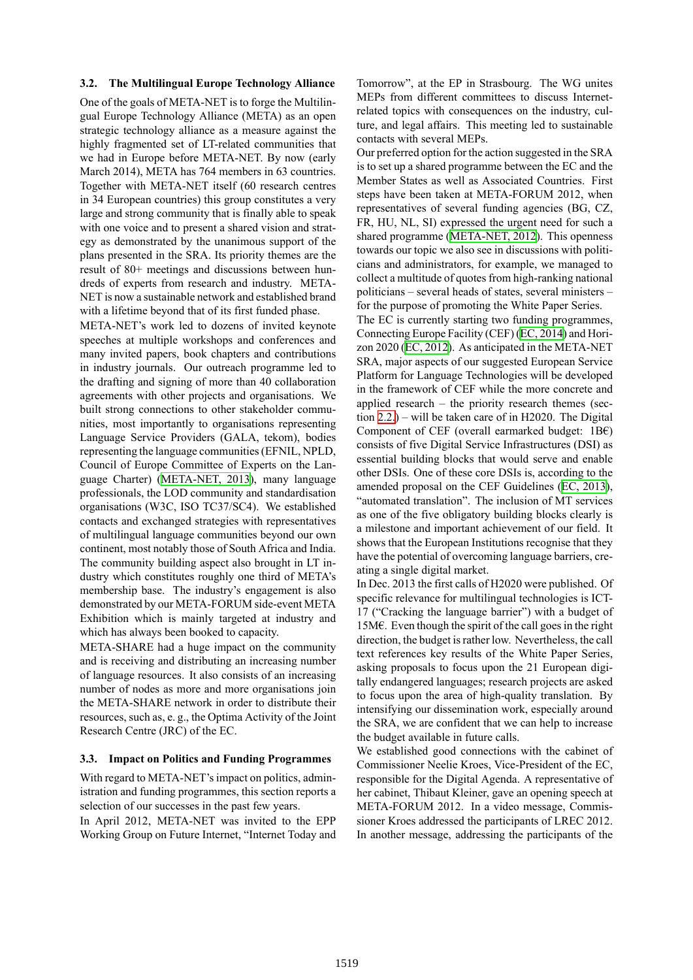### **3.2. The Multilingual Europe Technology Alliance**

One of the goals of META-NET is to forge the Multilingual Europe Technology Alliance (META) as an open strategic technology alliance as a measure against the highly fragmented set of LT-related communities that we had in Europe before META-NET. By now (early March 2014), META has 764 members in 63 countries. Together with META-NET itself (60 research centres in 34 European countries) this group constitutes a very large and strong community that is finally able to speak with one voice and to present a shared vision and strategy as demonstrated by the unanimous support of the plans presented in the SRA. Its priority themes are the result of 80+ meetings and discussions between hundreds of experts from research and industry. META-NET is now a sustainable network and established brand with a lifetime beyond that of its first funded phase.

META-NET's work led to dozens of invited keynote speeches at multiple workshops and conferences and many invited papers, book chapters and contributions in industry journals. Our outreach programme led to the drafting and signing of more than 40 collaboration agreements with other projects and organisations. We built strong connections to other stakeholder communities, most importantly to organisations representing Language Service Providers (GALA, tekom), bodies representing the language communities (EFNIL, NPLD, Council of Europe Committee of Experts on the Language Charter) (META-NET, 2013), many language professionals, the LOD community and standardisation organisations (W3C, ISO TC37/SC4). We established contacts and exchanged strategies with representatives of multilingual l[anguage communitie](#page-7-5)s beyond our own continent, most notably those of South Africa and India. The community building aspect also brought in LT industry which constitutes roughly one third of META's membership base. The industry's engagement is also demonstrated by our META-FORUM side-event META Exhibition which is mainly targeted at industry and which has always been booked to capacity.

META-SHARE had a huge impact on the community and is receiving and distributing an increasing number of language resources. It also consists of an increasing number of nodes as more and more organisations join the META-SHARE network in order to distribute their resources, such as, e. g., the Optima Activity of the Joint Research Centre (JRC) of the EC.

### **3.3. Impact on Politics and Funding Programmes**

With regard to META-NET's impact on politics, administration and funding programmes, this section reports a selection of our successes in the past few years.

In April 2012, META-NET was invited to the EPP Working Group on Future Internet, "Internet Today and Tomorrow", at the EP in Strasbourg. The WG unites MEPs from different committees to discuss Internetrelated topics with consequences on the industry, culture, and legal affairs. This meeting led to sustainable contacts with several MEPs.

Our preferred option for the action suggested in the SRA is to set up a shared programme between the EC and the Member States as well as Associated Countries. First steps have been taken at META-FORUM 2012, when representatives of several funding agencies (BG, CZ, FR, HU, NL, SI) expressed the urgent need for such a shared programme (META-NET, 2012). This openness towards our topic we also see in discussions with politicians and administrators, for example, we managed to collect a multitude of quotes from high-ranking national politicians – several [heads of states, sev](#page-7-6)eral ministers – for the purpose of promoting the White Paper Series.

The EC is currently starting two funding programmes, Connecting Europe Facility (CEF) (EC, 2014) and Horizon 2020 (EC, 2012). As anticipated in the META-NET SRA, major aspects of our suggested European Service Platform for Language Technologies will be developed in the framework of CEF while th[e more co](#page-7-7)ncrete and applied re[search –](#page-7-8) the priority research themes (section 2.2.) – will be taken care of in H2020. The Digital Component of CEF (overall earmarked budget:  $1B\epsilon$ ) consists of five Digital Service Infrastructures (DSI) as essential building blocks that would serve and enable othe[r DS](#page-1-2)Is. One of these core DSIs is, according to the amended proposal on the CEF Guidelines (EC, 2013), "automated translation". The inclusion of MT services as one of the five obligatory building blocks clearly is a milestone and important achievement of our field. It shows that the European Institutions recogni[se that the](#page-7-9)y have the potential of overcoming language barriers, creating a single digital market.

In Dec. 2013 the first calls of H2020 were published. Of specific relevance for multilingual technologies is ICT-17 ("Cracking the language barrier") with a budget of 15M€. Even though the spirit of the call goes in the right direction, the budget is rather low. Nevertheless, the call text references key results of the White Paper Series, asking proposals to focus upon the 21 European digitally endangered languages; research projects are asked to focus upon the area of high-quality translation. By intensifying our dissemination work, especially around the SRA, we are confident that we can help to increase the budget available in future calls.

We established good connections with the cabinet of Commissioner Neelie Kroes, Vice-President of the EC, responsible for the Digital Agenda. A representative of her cabinet, Thibaut Kleiner, gave an opening speech at META-FORUM 2012. In a video message, Commissioner Kroes addressed the participants of LREC 2012. In another message, addressing the participants of the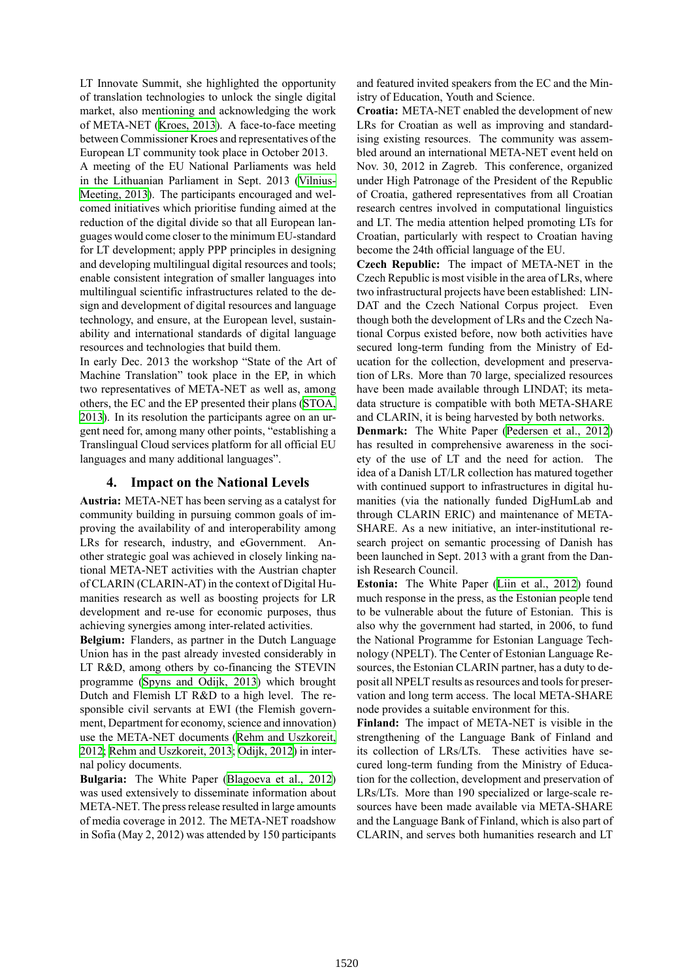LT Innovate Summit, she highlighted the opportunity of translation technologies to unlock the single digital market, also mentioning and acknowledging the work of META-NET (Kroes, 2013). A face-to-face meeting between Commissioner Kroes and representatives of the European LT community took place in October 2013.

A meeting of the EU National Parliaments was held in the Lithuania[n Parliament](#page-7-10) in Sept. 2013 (Vilnius-Meeting, 2013). The participants encouraged and welcomed initiatives which prioritise funding aimed at the reduction of the digital divide so that all European languages would come closer to the minimum EU-[standard](#page-7-11) [for LT develop](#page-7-11)ment; apply PPP principles in designing and developing multilingual digital resources and tools; enable consistent integration of smaller languages into multilingual scientific infrastructures related to the design and development of digital resources and language technology, and ensure, at the European level, sustainability and international standards of digital language resources and technologies that build them.

In early Dec. 2013 the workshop "State of the Art of Machine Translation" took place in the EP, in which two representatives of META-NET as well as, among others, the EC and the EP presented their plans (STOA, 2013). In its resolution the participants agree on an urgent need for, among many other points, "establishing a Translingual Cloud services platform for all official EU languages and many additional languages".

### **4. Impact on the National Levels**

<span id="page-3-0"></span>**Austria:** META-NET has been serving as a catalyst for community building in pursuing common goals of improving the availability of and interoperability among LRs for research, industry, and eGovernment. Another strategic goal was achieved in closely linking national META-NET activities with the Austrian chapter of CLARIN (CLARIN-AT) in the context of Digital Humanities research as well as boosting projects for LR development and re-use for economic purposes, thus achieving synergies among inter-related activities.

**Belgium:** Flanders, as partner in the Dutch Language Union has in the past already invested considerably in LT R&D, among others by co-financing the STEVIN programme (Spyns and Odijk, 2013) which brought Dutch and Flemish LT R&D to a high level. The responsible civil servants at EWI (the Flemish government, Department for economy, science and innovation) use the MET[A-NET documents \(Rehm](#page-7-12) and Uszkoreit, 2012; Rehm and Uszkoreit, 2013; Odijk, 2012) in internal policy documents.

**Bulgaria:** The White Paper (Blagoeva et al., 2012) was used extensively to dissemin[ate information about](#page-7-3) [MET](#page-7-3)[A-NET. The press release res](#page-7-1)[ulted in large](#page-7-13) amounts of media coverage in 2012. The META-NET roadshow in Sofia (May 2, 2012) was atte[nded by 150 participants](#page-7-14) and featured invited speakers from the EC and the Ministry of Education, Youth and Science.

**Croatia:** META-NET enabled the development of new LRs for Croatian as well as improving and standardising existing resources. The community was assembled around an international META-NET event held on Nov. 30, 2012 in Zagreb. This conference, organized under High Patronage of the President of the Republic of Croatia, gathered representatives from all Croatian research centres involved in computational linguistics and LT. The media attention helped promoting LTs for Croatian, particularly with respect to Croatian having become the 24th official language of the EU.

**Czech Republic:** The impact of META-NET in the Czech Republic is most visible in the area of LRs, where two infrastructural projects have been established: LIN-DAT and the Czech National Corpus project. Even though both the development of LRs and the Czech National Corpus existed before, now both activities have secured long-term funding from the Ministry of Education for the collection, development and preservation of LRs. More than 70 large, specialized resources have been made available through LINDAT; its metadata structure is compatible with both META-SHARE and CLARIN, it is being harvested by both networks.

**Denmark:** The White Paper (Pedersen et al., 2012) has resulted in comprehensive awareness in the society of the use of LT and the need for action. The idea of a Danish LT/LR collection has matured together with continued support to infra[structures in digital hu](#page-7-15)manities (via the nationally funded DigHumLab and through CLARIN ERIC) and maintenance of META-SHARE. As a new initiative, an inter-institutional research project on semantic processing of Danish has been launched in Sept. 2013 with a grant from the Danish Research Council.

**Estonia:** The White Paper (Liin et al., 2012) found much response in the press, as the Estonian people tend to be vulnerable about the future of Estonian. This is also why the government had started, in 2006, to fund the National Programme for [Estonian Languag](#page-7-16)e Technology (NPELT). The Center of Estonian Language Resources, the Estonian CLARIN partner, has a duty to deposit all NPELT results as resources and tools for preservation and long term access. The local META-SHARE node provides a suitable environment for this.

**Finland:** The impact of META-NET is visible in the strengthening of the Language Bank of Finland and its collection of LRs/LTs. These activities have secured long-term funding from the Ministry of Education for the collection, development and preservation of LRs/LTs. More than 190 specialized or large-scale resources have been made available via META-SHARE and the Language Bank of Finland, which is also part of CLARIN, and serves both humanities research and LT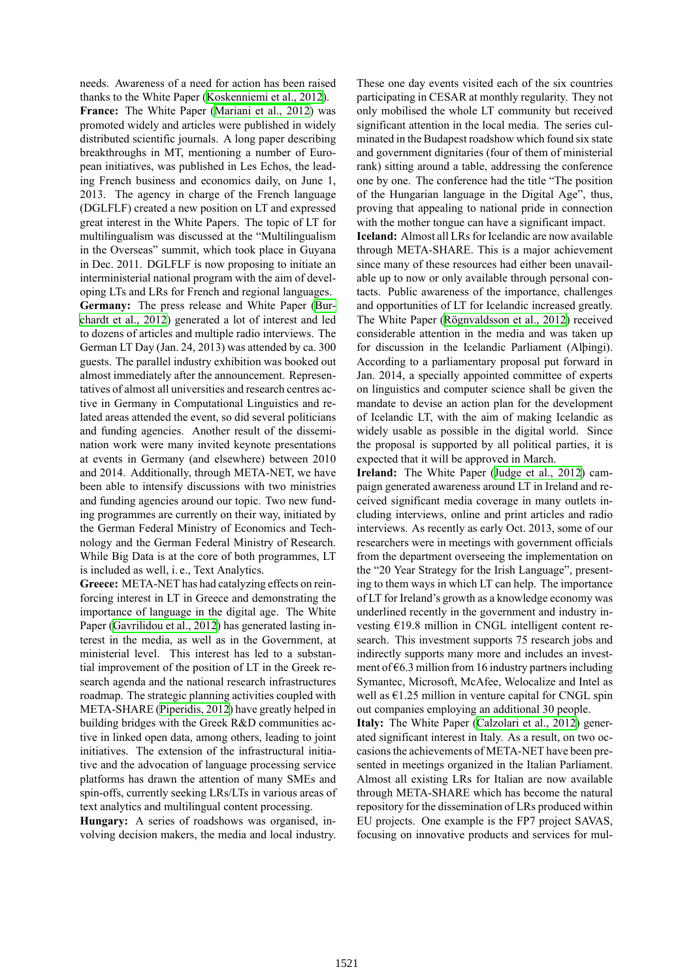needs. Awareness of a need for action has been raised thanks to the White Paper (Koskenniemi et al., 2012). **France:** The White Paper (Mariani et al., 2012) was promoted widely and articles were published in widely distributed scientific journals. A long paper describing breakthroughs in MT, me[ntioning a number of Eu](#page-7-17)ropean initiatives, was publish[ed in Les Echos, the](#page-7-18) leading French business and economics daily, on June 1, 2013. The agency in charge of the French language (DGLFLF) created a new position on LT and expressed great interest in the White Papers. The topic of LT for multilingualism was discussed at the "Multilingualism in the Overseas" summit, which took place in Guyana in Dec. 2011. DGLFLF is now proposing to initiate an interministerial national program with the aim of developing LTs and LRs for French and regional languages.

**Germany:** The press release and White Paper (Burchardt et al., 2012) generated a lot of interest and led to dozens of articles and multiple radio interviews. The German LT Day (Jan. 24, 2013) was attended by ca. 300 guests. The parallel industry exhibition was booke[d out](#page-7-19) [almost immediately](#page-7-19) after the announcement. Representatives of almost all universities and research centres active in Germany in Computational Linguistics and related areas attended the event, so did several politicians and funding agencies. Another result of the dissemination work were many invited keynote presentations at events in Germany (and elsewhere) between 2010 and 2014. Additionally, through META-NET, we have been able to intensify discussions with two ministries and funding agencies around our topic. Two new funding programmes are currently on their way, initiated by the German Federal Ministry of Economics and Technology and the German Federal Ministry of Research. While Big Data is at the core of both programmes, LT is included as well, i. e., Text Analytics.

**Greece:** META-NET has had catalyzing effects on reinforcing interest in LT in Greece and demonstrating the importance of language in the digital age. The White Paper (Gavrilidou et al., 2012) has generated lasting interest in the media, as well as in the Government, at ministerial level. This interest has led to a substantial improvement of the position of LT in the Greek research [agenda and the nationa](#page-7-20)l research infrastructures roadmap. The strategic planning activities coupled with META-SHARE (Piperidis, 2012) have greatly helped in building bridges with the Greek R&D communities active in linked open data, among others, leading to joint initiatives. The extension of the infrastructural initiative and the adv[ocation of langu](#page-7-21)age processing service platforms has drawn the attention of many SMEs and spin-offs, currently seeking LRs/LTs in various areas of text analytics and multilingual content processing.

**Hungary:** A series of roadshows was organised, involving decision makers, the media and local industry. These one day events visited each of the six countries participating in CESAR at monthly regularity. They not only mobilised the whole LT community but received significant attention in the local media. The series culminated in the Budapest roadshow which found six state and government dignitaries (four of them of ministerial rank) sitting around a table, addressing the conference one by one. The conference had the title "The position of the Hungarian language in the Digital Age", thus, proving that appealing to national pride in connection with the mother tongue can have a significant impact.

**Iceland:** Almost all LRs for Icelandic are now available through META-SHARE. This is a major achievement since many of these resources had either been unavailable up to now or only available through personal contacts. Public awareness of the importance, challenges and opportunities of LT for Icelandic increased greatly. The White Paper (Rögnvaldsson et al., 2012) received considerable attention in the media and was taken up for discussion in the Icelandic Parliament (Alþingi). According to a parliamentary proposal put forward in Jan. 2014, a speci[ally appointed committee](#page-7-22) of experts on linguistics and computer science shall be given the mandate to devise an action plan for the development of Icelandic LT, with the aim of making Icelandic as widely usable as possible in the digital world. Since the proposal is supported by all political parties, it is expected that it will be approved in March.

**Ireland:** The White Paper (Judge et al., 2012) campaign generated awareness around LT in Ireland and received significant media coverage in many outlets including interviews, online and print articles and radio interviews. As recently as ear[ly Oct. 2013, some](#page-7-23) of our researchers were in meetings with government officials from the department overseeing the implementation on the "20 Year Strategy for the Irish Language", presenting to them ways in which LT can help. The importance of LT for Ireland's growth as a knowledge economy was underlined recently in the government and industry investing €19.8 million in CNGL intelligent content research. This investment supports 75 research jobs and indirectly supports many more and includes an investment of  $66.3$  million from 16 industry partners including Symantec, Microsoft, McAfee, Welocalize and Intel as well as  $E1.25$  million in venture capital for CNGL spin out companies employing an additional 30 people.

**Italy:** The White Paper (Calzolari et al., 2012) generated significant interest in Italy. As a result, on two occasions the achievements of META-NET have been presented in meetings organized in the Italian Parliament. Almost all existing LRs [for Italian are now a](#page-7-24)vailable through META-SHARE which has become the natural repository for the dissemination of LRs produced within EU projects. One example is the FP7 project SAVAS, focusing on innovative products and services for mul-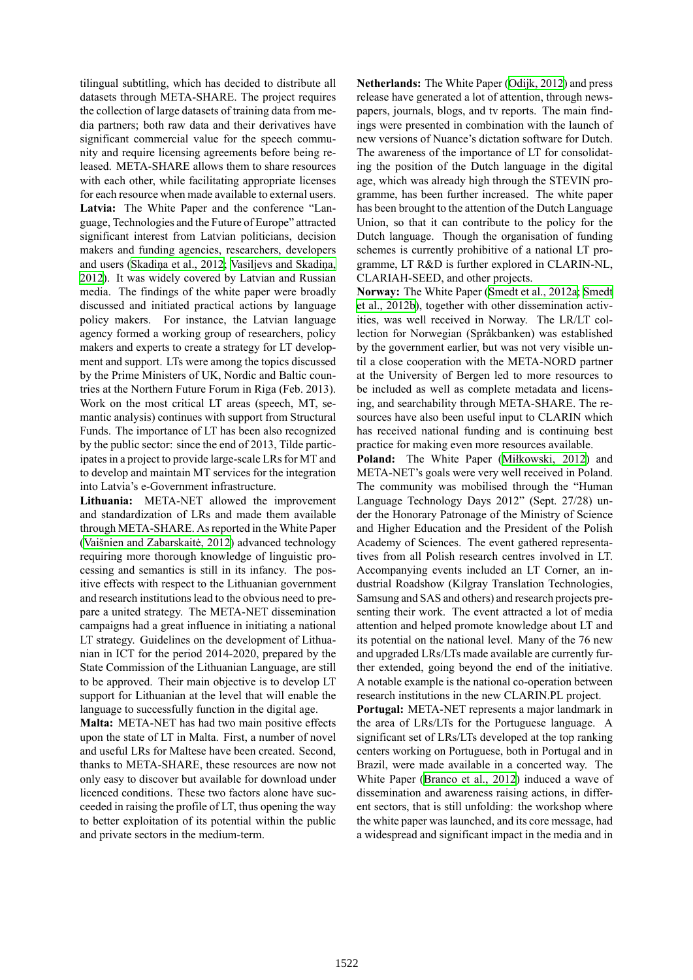tilingual subtitling, which has decided to distribute all datasets through META-SHARE. The project requires the collection of large datasets of training data from media partners; both raw data and their derivatives have significant commercial value for the speech community and require licensing agreements before being released. META-SHARE allows them to share resources with each other, while facilitating appropriate licenses for each resource when made available to external users. **Latvia:** The White Paper and the conference "Language, Technologies and the Future of Europe" attracted significant interest from Latvian politicians, decision makers and funding agencies, researchers, developers and users (Skadiņa et al., 2012; Vasiljevs and Skadiņa, 2012). It was widely covered by Latvian and Russian media. The findings of the white paper were broadly discussed and initiated practical actions by language policy ma[kers. For instance](#page-7-25), [the Latvian language](#page-7-26) [agenc](#page-7-26)y formed a working group of researchers, policy makers and experts to create a strategy for LT development and support. LTs were among the topics discussed by the Prime Ministers of UK, Nordic and Baltic countries at the Northern Future Forum in Riga (Feb. 2013). Work on the most critical LT areas (speech, MT, semantic analysis) continues with support from Structural Funds. The importance of LT has been also recognized by the public sector: since the end of 2013, Tilde participates in a project to provide large-scale LRs for MT and to develop and maintain MT services for the integration into Latvia's e-Government infrastructure.

**Lithuania:** META-NET allowed the improvement and standardization of LRs and made them available through META-SHARE. As reported in the White Paper (Vaišnien and Zabarskaitė, 2012) advanced technology requiring more thorough knowledge of linguistic processing and semantics is still in its infancy. The positive effects with respect to the Lithuanian government [and research institutions lead to th](#page-7-27)e obvious need to prepare a united strategy. The META-NET dissemination campaigns had a great influence in initiating a national LT strategy. Guidelines on the development of Lithuanian in ICT for the period 2014-2020, prepared by the State Commission of the Lithuanian Language, are still to be approved. Their main objective is to develop LT support for Lithuanian at the level that will enable the language to successfully function in the digital age.

**Malta:** META-NET has had two main positive effects upon the state of LT in Malta. First, a number of novel and useful LRs for Maltese have been created. Second, thanks to META-SHARE, these resources are now not only easy to discover but available for download under licenced conditions. These two factors alone have succeeded in raising the profile of LT, thus opening the way to better exploitation of its potential within the public and private sectors in the medium-term.

**Netherlands:** The White Paper (Odijk, 2012) and press release have generated a lot of attention, through newspapers, journals, blogs, and tv reports. The main findings were presented in combination with the launch of new versions of Nuance's dictati[on software](#page-7-13) for Dutch. The awareness of the importance of LT for consolidating the position of the Dutch language in the digital age, which was already high through the STEVIN programme, has been further increased. The white paper has been brought to the attention of the Dutch Language Union, so that it can contribute to the policy for the Dutch language. Though the organisation of funding schemes is currently prohibitive of a national LT programme, LT R&D is further explored in CLARIN-NL, CLARIAH-SEED, and other projects.

**Norway:** The White Paper (Smedt et al., 2012a; Smedt et al., 2012b), together with other dissemination activities, was well received in Norway. The LR/LT collection for Norwegian (Språkbanken) was established by the government earlier, b[ut was not very visi](#page-7-28)[ble un](#page-7-29)[til a close co](#page-7-29)operation with the META-NORD partner at the University of Bergen led to more resources to be included as well as complete metadata and licensing, and searchability through META-SHARE. The resources have also been useful input to CLARIN which has received national funding and is continuing best practice for making even more resources available.

**Poland:** The White Paper (Miłkowski, 2012) and META-NET's goals were very well received in Poland. The community was mobilised through the "Human Language Technology Days 2012" (Sept. 27/28) under the Honorary Patronage of [the Ministry of Sc](#page-7-30)ience and Higher Education and the President of the Polish Academy of Sciences. The event gathered representatives from all Polish research centres involved in LT. Accompanying events included an LT Corner, an industrial Roadshow (Kilgray Translation Technologies, Samsung and SAS and others) and research projects presenting their work. The event attracted a lot of media attention and helped promote knowledge about LT and its potential on the national level. Many of the 76 new and upgraded LRs/LTs made available are currently further extended, going beyond the end of the initiative. A notable example is the national co-operation between research institutions in the new CLARIN.PL project.

**Portugal:** META-NET represents a major landmark in the area of LRs/LTs for the Portuguese language. A significant set of LRs/LTs developed at the top ranking centers working on Portuguese, both in Portugal and in Brazil, were made available in a concerted way. The White Paper (Branco et al., 2012) induced a wave of dissemination and awareness raising actions, in different sectors, that is still unfolding: the workshop where the white paper was launched, and its core message, had a widespread [and significant impac](#page-7-31)t in the media and in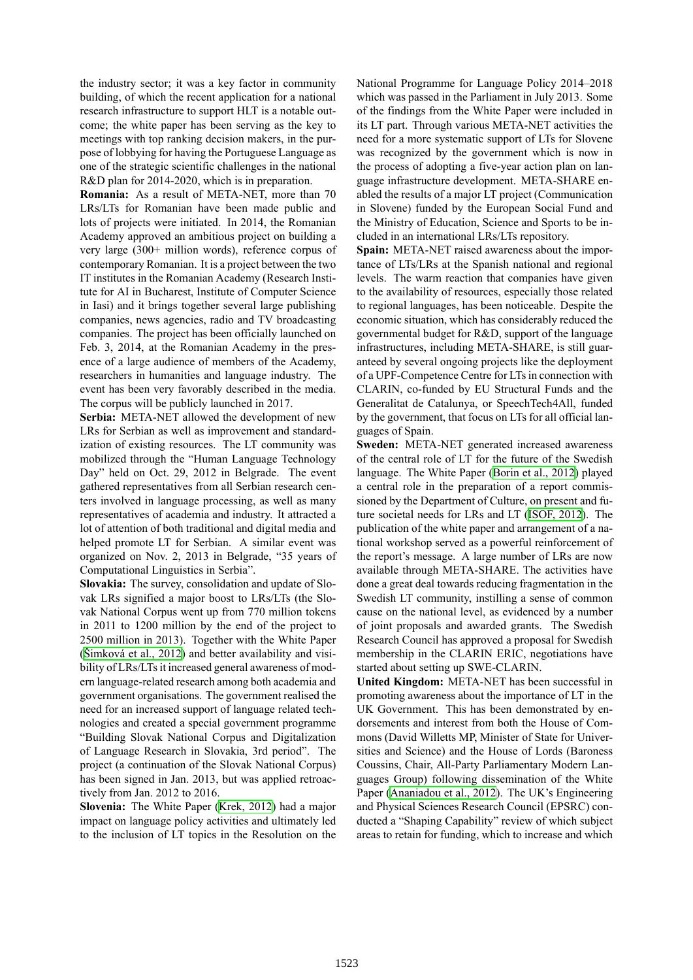the industry sector; it was a key factor in community building, of which the recent application for a national research infrastructure to support HLT is a notable outcome; the white paper has been serving as the key to meetings with top ranking decision makers, in the purpose of lobbying for having the Portuguese Language as one of the strategic scientific challenges in the national R&D plan for 2014-2020, which is in preparation.

**Romania:** As a result of META-NET, more than 70 LRs/LTs for Romanian have been made public and lots of projects were initiated. In 2014, the Romanian Academy approved an ambitious project on building a very large (300+ million words), reference corpus of contemporary Romanian. It is a project between the two IT institutes in the Romanian Academy (Research Institute for AI in Bucharest, Institute of Computer Science in Iasi) and it brings together several large publishing companies, news agencies, radio and TV broadcasting companies. The project has been officially launched on Feb. 3, 2014, at the Romanian Academy in the presence of a large audience of members of the Academy, researchers in humanities and language industry. The event has been very favorably described in the media. The corpus will be publicly launched in 2017.

**Serbia:** META-NET allowed the development of new LRs for Serbian as well as improvement and standardization of existing resources. The LT community was mobilized through the "Human Language Technology Day" held on Oct. 29, 2012 in Belgrade. The event gathered representatives from all Serbian research centers involved in language processing, as well as many representatives of academia and industry. It attracted a lot of attention of both traditional and digital media and helped promote LT for Serbian. A similar event was organized on Nov. 2, 2013 in Belgrade, "35 years of Computational Linguistics in Serbia".

**Slovakia:** The survey, consolidation and update of Slovak LRs signified a major boost to LRs/LTs (the Slovak National Corpus went up from 770 million tokens in 2011 to 1200 million by the end of the project to 2500 million in 2013). Together with the White Paper (Šimková et al., 2012) and better availability and visibility of LRs/LTs it increased general awareness of modern language-related research among both academia and government organisations. The government realised the [need for an increased](#page-7-32) support of language related technologies and created a special government programme "Building Slovak National Corpus and Digitalization of Language Research in Slovakia, 3rd period". The project (a continuation of the Slovak National Corpus) has been signed in Jan. 2013, but was applied retroactively from Jan. 2012 to 2016.

**Slovenia:** The White Paper (Krek, 2012) had a major impact on language policy activities and ultimately led to the inclusion of LT topics in the Resolution on the National Programme for Language Policy 2014–2018 which was passed in the Parliament in July 2013. Some of the findings from the White Paper were included in its LT part. Through various META-NET activities the need for a more systematic support of LTs for Slovene was recognized by the government which is now in the process of adopting a five-year action plan on language infrastructure development. META-SHARE enabled the results of a major LT project (Communication in Slovene) funded by the European Social Fund and the Ministry of Education, Science and Sports to be included in an international LRs/LTs repository.

**Spain:** META-NET raised awareness about the importance of LTs/LRs at the Spanish national and regional levels. The warm reaction that companies have given to the availability of resources, especially those related to regional languages, has been noticeable. Despite the economic situation, which has considerably reduced the governmental budget for R&D, support of the language infrastructures, including META-SHARE, is still guaranteed by several ongoing projects like the deployment of a UPF-Competence Centre for LTs in connection with CLARIN, co-funded by EU Structural Funds and the Generalitat de Catalunya, or SpeechTech4All, funded by the government, that focus on LTs for all official languages of Spain.

**Sweden:** META-NET generated increased awareness of the central role of LT for the future of the Swedish language. The White Paper (Borin et al., 2012) played a central role in the preparation of a report commissioned by the Department of Culture, on present and future societal needs for LRs and LT (ISOF, 2012). The publication of the white pape[r and arrangement](#page-7-33) of a national workshop served as a powerful reinforcement of the report's message. A large number of LRs are now available through META-SHARE. [The activitie](#page-7-34)s have done a great deal towards reducing fragmentation in the Swedish LT community, instilling a sense of common cause on the national level, as evidenced by a number of joint proposals and awarded grants. The Swedish Research Council has approved a proposal for Swedish membership in the CLARIN ERIC, negotiations have started about setting up SWE-CLARIN.

**United Kingdom:** META-NET has been successful in promoting awareness about the importance of LT in the UK Government. This has been demonstrated by endorsements and interest from both the House of Commons (David Willetts MP, Minister of State for Universities and Science) and the House of Lords (Baroness Coussins, Chair, All-Party Parliamentary Modern Languages Group) following dissemination of the White Paper (Ananiadou et al., 2012). The UK's Engineering and Physical Sciences Research Council (EPSRC) conducted a "Shaping Capability" review of which subject areas to retain for funding, which to increase and which